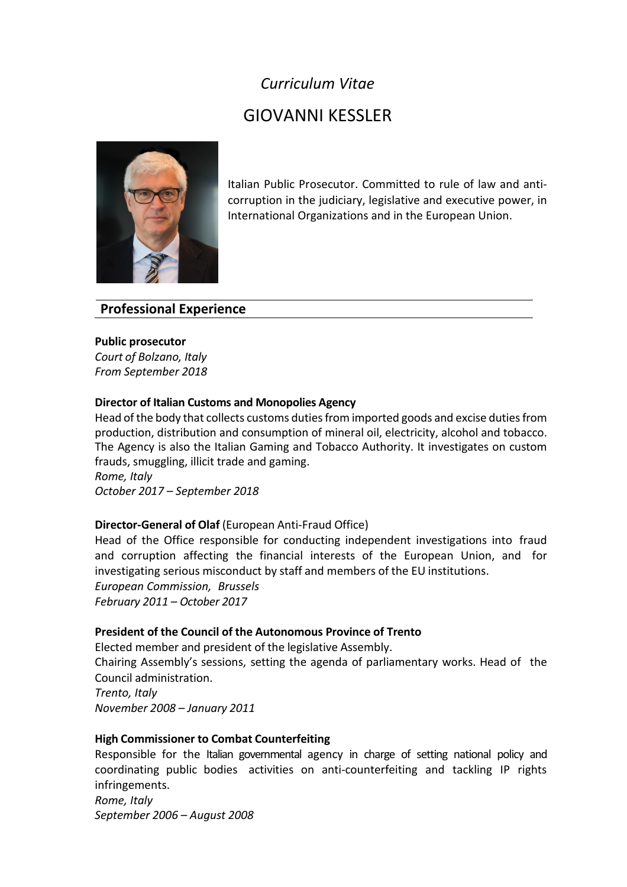## *Curriculum Vitae*

# GIOVANNI KESSLER



Italian Public Prosecutor. Committed to rule of law and anticorruption in the judiciary, legislative and executive power, in International Organizations and in the European Union.

## **Professional Experience**

## **Public prosecutor**

*Court of Bolzano, Italy From September 2018*

## **Director of Italian Customs and Monopolies Agency**

Head of the body that collects customs dutiesfrom imported goods and excise duties from production, distribution and consumption of mineral oil, electricity, alcohol and tobacco. The Agency is also the Italian Gaming and Tobacco Authority. It investigates on custom frauds, smuggling, illicit trade and gaming. *Rome, Italy*

*October 2017 – September 2018*

## **Director-General of Olaf** (European Anti-Fraud Office)

Head of the Office responsible for conducting independent investigations into fraud and corruption affecting the financial interests of the European Union, and for investigating serious misconduct by staff and members of the EU institutions. *European Commission, Brussels*

*February 2011 – October 2017*

## **President of the Council of the Autonomous Province of Trento**

Elected member and president of the legislative Assembly. Chairing Assembly's sessions, setting the agenda of parliamentary works. Head of the Council administration. *Trento, Italy November 2008 – January 2011*

## **High Commissioner to Combat Counterfeiting**

Responsible for the Italian governmental agency in charge of setting national policy and coordinating public bodies activities on anti-counterfeiting and tackling IP rights infringements.

*Rome, Italy September 2006 – August 2008*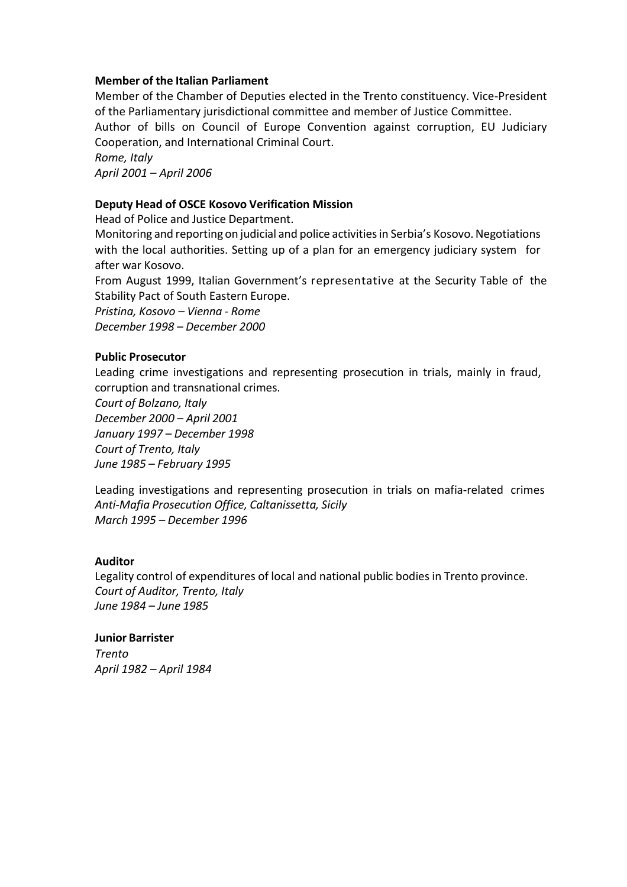#### **Member of the Italian Parliament**

Member of the Chamber of Deputies elected in the Trento constituency. Vice-President of the Parliamentary jurisdictional committee and member of Justice Committee. Author of bills on Council of Europe Convention against corruption, EU Judiciary Cooperation, and International Criminal Court. *Rome, Italy*

*April 2001 – April 2006*

#### **Deputy Head of OSCE Kosovo Verification Mission**

Head of Police and Justice Department.

Monitoring and reporting on judicial and police activities in Serbia's Kosovo. Negotiations with the local authorities. Setting up of a plan for an emergency judiciary system for after war Kosovo.

From August 1999, Italian Government's representative at the Security Table of the Stability Pact of South Eastern Europe.

*Pristina, Kosovo – Vienna - Rome December 1998 – December 2000*

#### **Public Prosecutor**

Leading crime investigations and representing prosecution in trials, mainly in fraud, corruption and transnational crimes.

*Court of Bolzano, Italy December 2000 – April 2001 January 1997 – December 1998 Court of Trento, Italy June 1985 – February 1995*

Leading investigations and representing prosecution in trials on mafia-related crimes *Anti-Mafia Prosecution Office, Caltanissetta, Sicily March 1995 – December 1996*

#### **Auditor**

Legality control of expenditures of local and national public bodies in Trento province. *Court of Auditor, Trento, Italy June 1984 – June 1985*

#### **Junior Barrister**

*Trento April 1982 – April 1984*